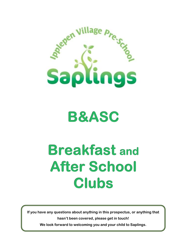

**B&ASC** 

# **Breakfast and After School Clubs**

**If you have any questions about anything in this prospectus, or anything that hasn't been covered, please get in touch!** 

**We look forward to welcoming you and your child to Saplings.**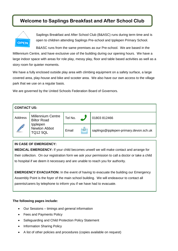# **Welcome to Saplings Breakfast and After School Club**



Saplings Breakfast and After School Club (B&ASC) runs during term time and is open to children attending Saplings Pre-school and Ipplepen Primary School.

B&ASC runs from the same premises as our Pre-school. We are based in the Millennium Centre, and have exclusive use of the building during our opening hours. We have a large indoor space with areas for role play, messy play, floor and table based activities as well as a story room for quieter moments.

We have a fully enclosed outside play area with climbing equipment on a safety surface, a large covered area, play-house and bike and scooter area. We also have our own access to the village park that we use on a regular basis.

We are governed by the United Schools Federation Board of Governors.

| <b>CONTACT US:</b> |                                                                                               |         |  |                                        |  |  |  |
|--------------------|-----------------------------------------------------------------------------------------------|---------|--|----------------------------------------|--|--|--|
| Address            | <b>Millennium Centre</b><br><b>Biltor Road</b><br>Ipplepen<br>Newton Abbot<br><b>TQ12 5QL</b> | Tel No. |  | 01803 812466                           |  |  |  |
|                    |                                                                                               | Email   |  | saplings@ipplepen-primary.devon.sch.uk |  |  |  |

# **IN CASE OF EMERGENCY:**

**MEDICAL EMERGENCY:** If your child becomes unwell we will make contact and arrange for their collection. On our registration form we ask your permission to call a doctor or take a child to hospital if we deem it necessary and are unable to reach you for authority.

**EMERGENCY EVACUATION:** In the event of having to evacuate the building our Emergency Assembly Point is the foyer of the main school building. We will endeavour to contact all parents/carers by telephone to inform you if we have had to evacuate.

# **The following pages include:**

- Our Sessions timings and general information
- Fees and Payments Policy
- Safeguarding and Child Protection Policy Statement
- Information Sharing Policy
- A list of other policies and procedures (copies available on request)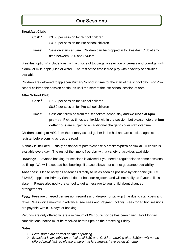# **Our Sessions**

# **Breakfast Club:**

| Cost: <sup>1</sup> | £3.50 per session for School children                                      |  |  |  |  |
|--------------------|----------------------------------------------------------------------------|--|--|--|--|
|                    | £4.00 per session for Pre-school children                                  |  |  |  |  |
| Times:             | Session starts at 8am. Children can be dropped in to Breakfast Club at any |  |  |  |  |
|                    | time between $8:00$ and $8:40$ am <sup>2</sup> .                           |  |  |  |  |

Breakfast options<sup>2</sup> include toast with a choice of toppings, a selection of cereals and porridge, with a drink of milk, apple juice or water. The rest of the time is free play with a variety of activities available.

Children are delivered to Ipplepen Primary School in time for the start of the school day. For Preschool children the session continues until the start of the Pre-school session at 9am.

# **After School Club:**

- Cost: <sup>1</sup> £7.50 per session for School children £8.50 per session for Pre-school children
- Times: Sessions follow on from the school/pre-school day and **we close at 6pm prompt.** Pick up times are flexible within the session, but please note that **late collections** are subject to an additional charge to cover staff overtime.

Children coming to ASC from the primary school gather in the hall and are checked against the register before coming across the road.

A snack is included - usually pasta/jacket potato/cheese & crackers/pizza or similar. A choice is available every day. The rest of the time is free play with a variety of activities available.

**Bookings:** Advance booking for sessions is advised if you need a regular slot as some sessions do fill up. We will accept ad hoc bookings if space allows, but cannot guarantee availability.

**Absences:** Please notify all absences directly to us as soon as possible by telephone (01803 812466). Ipplepen Primary School do not hold our registers and will not notify us if your child is absent. Please also notify the school to get a message to your child about changed arrangements.

**Fees:** Fees are charged per session regardless of drop-off or pick-up time due to staff costs and ratios. We invoice monthly in advance (see Fees and Payment policy). Fees for ad hoc sessions are payable within 14 days of booking.

Refunds are only offered where a minimum of **24 hours notice** has been given. For Monday cancellations, notice must be received before 6pm on the preceding Friday.

## *Notes:*

- *1. Fees stated are correct at time of printing.*
- *2. Breakfast is available on arrival until 8:30 am. Children arriving after 8:30am will not be offered breakfast, so please ensure that late arrivals have eaten at home.*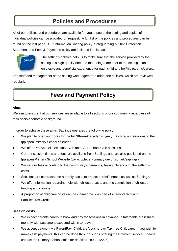# **Policies and Procedures**

All of our policies and procedures are available for you to see at the setting and copies of individual policies can be provided on request. A full list of the policies and procedures can be found on the last page. Our Information Sharing policy, Safeguarding & Child Protection Statement and Fees & Payments policy are included in this pack.



The setting's policies help us to make sure that the service provided by the setting is a high quality one and that being a member of the setting is an enjoyable and beneficial experience for each child and her/his parents/carers.

The staff and management of the setting work together to adopt the policies, which are reviewed regularly.

# **Fees and Payment Policy**

## **Aims**

We aim to ensure that our services are available to all sections of our community regardless of their socio-economic background.

In order to achieve these aims, Saplings operates the following policy:

- We plan to open our doors for the full 38-week academic year, matching our sessions to the Ipplepen Primary School calendar.
- We offer Pre-School, Breakfast Club and After School Club sessions.
- Current session times and fees are available from Saplings and are also published on the Ipplepen Primary School Website (www.ipplepen-primary.devon.sch.uk/saplings).
- We set our fees according to the community's demands, taking into account the setting's costs.
- Sessions are contracted on a termly basis, to protect parent's needs as well as Saplings.
- We offer information regarding help with childcare costs and the completion of childcare funding applications.
- A proportion of childcare costs can be claimed back as part of a family's Working Families Tax Credit.

## **Session costs**

- We expect parents/carers to book and pay for sessions in advance. Statements are issued monthly with settlement expected within 14 days.
- We accept payment via ParentPay, Childcare Vouchers or Tax-free Childcare. If you wish to make cash payments, this can be done through shops offering the PayPoint service. Please contact the Primary School office for details (01803 812226).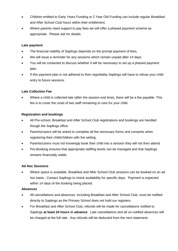- Children entitled to Early Years Funding or 2 Year Old Funding can include regular Breakfast and After School Club hours within their entitlement.
- Where parents need support to pay fees we will offer a phased payment scheme as appropriate. Please ask for details.

# **Late payment**

- The financial viability of Saplings depends on the prompt payment of fees.
- We will issue a reminder for any sessions which remain unpaid after 14 days.
- You will be contacted to discuss whether it will be necessary to set up a phased payment plan.
- If this payment plan is not adhered to then regrettably Saplings will have to refuse your child entry to future sessions.

# **Late Collection Fee**

 Where a child is collected late (after the session end time), there will be a fee payable. This fee is to cover the costs of two staff remaining to care for your child.

# **Registration and bookings**

- All Pre-school, Breakfast and After School Club registrations and bookings are handled though the Saplings office.
- Parents/carers will be asked to complete all the necessary forms and consents when registering their child/children with the setting.
- Parents/carers must not knowingly book their child into a session they will not then attend.
- Pre-Booking ensures that appropriate staffing levels can be managed and that Saplings remains financially viable.

# **Ad Hoc Sessions**

 Where space is available, Breakfast and After School Club sessions can be booked on an ad hoc basis. Contact Saplings to check availability for specific days. Payment is expected within 14 days of the booking being placed.

## **Absences**

- All cancellations and absences, including Breakfast and After School Club, must be notified directly to Saplings as the Primary School does not hold our registers.
- For Breakfast and After School Club, refunds will be made for cancellations notified to Saplings **at least 24 hours in advance**. Late cancellations and all un-notified absences will be charged at the full rate. Any refunds will be deducted from the next statement.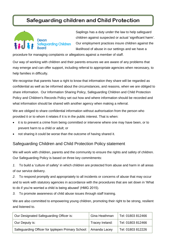# Safeguarding children and Child Protection



Saplings has a duty under the law to help safeguard children against suspected or actual 'significant harm'. Our employment practices insure children against the likelihood of abuse in our settings and we have a

procedure for managing complaints or allegations against a member of staff.

Our way of working with children and their parents ensures we are aware of any problems that may emerge and can offer support, including referral to appropriate agencies when necessary, to help families in difficulty.

We recognise that parents have a right to know that information they share will be regarded as confidential as well as be informed about the circumstances, and reasons, when we are obliged to share information. Our Information Sharing Policy, Safeguarding Children and Child Protection Policy and Children's Records Policy set out how and where information should be recorded and what information should be shared with another agency when making a referral.

We are obliged to share confidential information without authorisation from the person who provided it or to whom it relates if it is in the public interest. That is when:

- it is to prevent a crime from being committed or intervene where one may have been, or to prevent harm to a child or adult; or
- not sharing it could be worse than the outcome of having shared it.

# Safeguarding Children and Child Protection Policy statement

We will work with children, parents and the community to ensure the rights and safety of children. Our Safeguarding Policy is based on three key commitments:

*1.* To build a 'culture of safety' in which children are protected from abuse and harm in all areas of our service delivery.

*2.* To respond promptly and appropriately to all incidents or concerns of abuse that may occur and to work with statutory agencies in accordance with the procedures that are set down in 'What to do if you're worried a child is being abused' (HMG 2015).

*3.* To promote awareness of child abuse issues through staff training.

We are also committed to empowering young children, promoting their right to be strong, resilient and listened to.

| Our Designated Safeguarding Officer is:           | Gina Heathman   | Tel: 01803 812466 |
|---------------------------------------------------|-----------------|-------------------|
| Our Deputy is:                                    | Tracey Ireland: | Tel: 01803 812466 |
| Safeguarding Officer for Ipplepen Primary School: | Amanda Lacey    | Tel: 01803 812226 |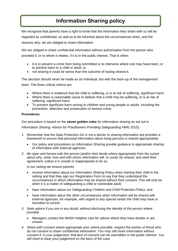# **Information Sharing policy**

We recognise that parents have a right to know that the information they share with us will be regarded as confidential, as well as to be informed about the circumstances when, and the reasons why, we are obliged to share information.

We are obliged to share confidential information without authorisation from the person who provided it, or to whom it relates, if it is in the public interest. That is when:

- it is to prevent a crime from being committed or to intervene where one may have been, or to prevent harm to a child or adult; or
- not sharing it could be worse than the outcome of having shared it.

The decision should never be made as an individual, but with the back-up of the management team. The three critical criteria are:

- Where there is evidence that the child is suffering, or is at risk of suffering, significant harm.
- Where there is reasonable cause to believe that a child may be suffering, or is at risk of suffering, significant harm.
- To prevent significant harm arising to children and young people or adults, including the prevention, detection and prosecution of serious crime.

## **Procedures**

Our procedure is based on the *seven golden rules* for information sharing as set out in

*Information Sharing: Advice for Practitioners Providing Safeguarding HM*G 2015).

- *1. Remember that the Data Protection Act is not a barrier to sharing information but provides a framework to ensure that personal information about living persons is shared appropriately.*
	- Our policy and procedures on Information Sharing provide guidance to appropriate sharing of information with external agencies.
- *2. Be open and honest with the person (and/or their family where appropriate) from the outset about why, what, how and with whom information will, or could, be shared, and seek their agreement, unless it is unsafe or inappropriate to do so.*

In our setting we ensure parents:

- receive information about our Information Sharing Policy when starting their child in the setting and that they sign our Registration Form to say that they understand the circumstances in which information may be shared without their consent. This will only be when it is a matter of safeguarding a child or vulnerable adult;
- have information about our Safeguarding Children and Child Protection Policy; and
- have information about the other circumstances when information will be shared with external agencies, for example, with regard to any special needs the child may have or transition to school.
- *3. Seek advice if you are in any doubt, without disclosing the identity of the person where possible.*
	- Managers contact the MASH Helpline care for advice where they have doubts or are unsure.
- *4. Share with consent where appropriate and, where possible, respect the wishes of those who do not consent to share confidential information. You may still share information without consent if, in your judgement, that lack of consent can be overridden in the public interest. You will need to base your judgement on the facts of the case.*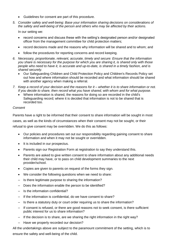- Guidelines for consent are part of this procedure.
- *5. Consider safety and well-being: Base your information sharing decisions on considerations of the safety and well-being of the person and others who may be affected by their actions.*

In our setting we:

- record concerns and discuss these with the setting's designated person and/or designated officer from the management committee for child protection matters;
- record decisions made and the reasons why information will be shared and to whom; and
- follow the procedures for reporting concerns and record keeping.
- *6. Necessary, proportionate, relevant, accurate, timely and secure: Ensure that the information you share is necessary for the purpose for which you are sharing it, is shared only with those people who need to have it, is accurate and up-to-date, is shared in a timely fashion, and is shared securely.*
	- Our Safeguarding Children and Child Protection Policy and Children's Records Policy set out how and where information should be recorded and what information should be shared with another agency when making a referral.
- *7. Keep a record of your decision and the reasons for it – whether it is to share information or not. If you decide to share, then record what you have shared, with whom and for what purpose.*
	- Where information is shared, the reasons for doing so are recorded in the child's Safeguarding record; where it is decided that information is not to be shared that is recorded too.

## *Consent*

Parents have a right to be informed that their consent to share information will be sought in most cases, as well as the kinds of circumstances when their consent may not be sought, or their refusal to give consent may be overridden. We do this as follows:

- Our policies and procedures set out our responsibility regarding gaining consent to share information and when it may not be sought or overridden.
- It is included in our prospectus.
- Parents sign our Registration Form at registration to say they understand this.
- Parents are asked to give written consent to share information about any additional needs their child may have, or to pass on child development summaries to the next provider/school.
- Copies are given to parents on request of the forms they sign.
- We consider the following questions when we need to share:
- Is there legitimate purpose to sharing the information?
- Does the information enable the person to be identified?
- Is the information confidential?
- If the information is confidential, do we have consent to share?
- Is there a statutory duty or court order requiring us to share the information?
- If consent is refused, or there are good reasons not to seek consent, is there sufficient public interest for us to share information?
- If the decision is to share, are we sharing the right information in the right way?
- Have we properly recorded our decision?

All the undertakings above are subject to the paramount commitment of the setting, which is to ensure the safety and well-being of the child.